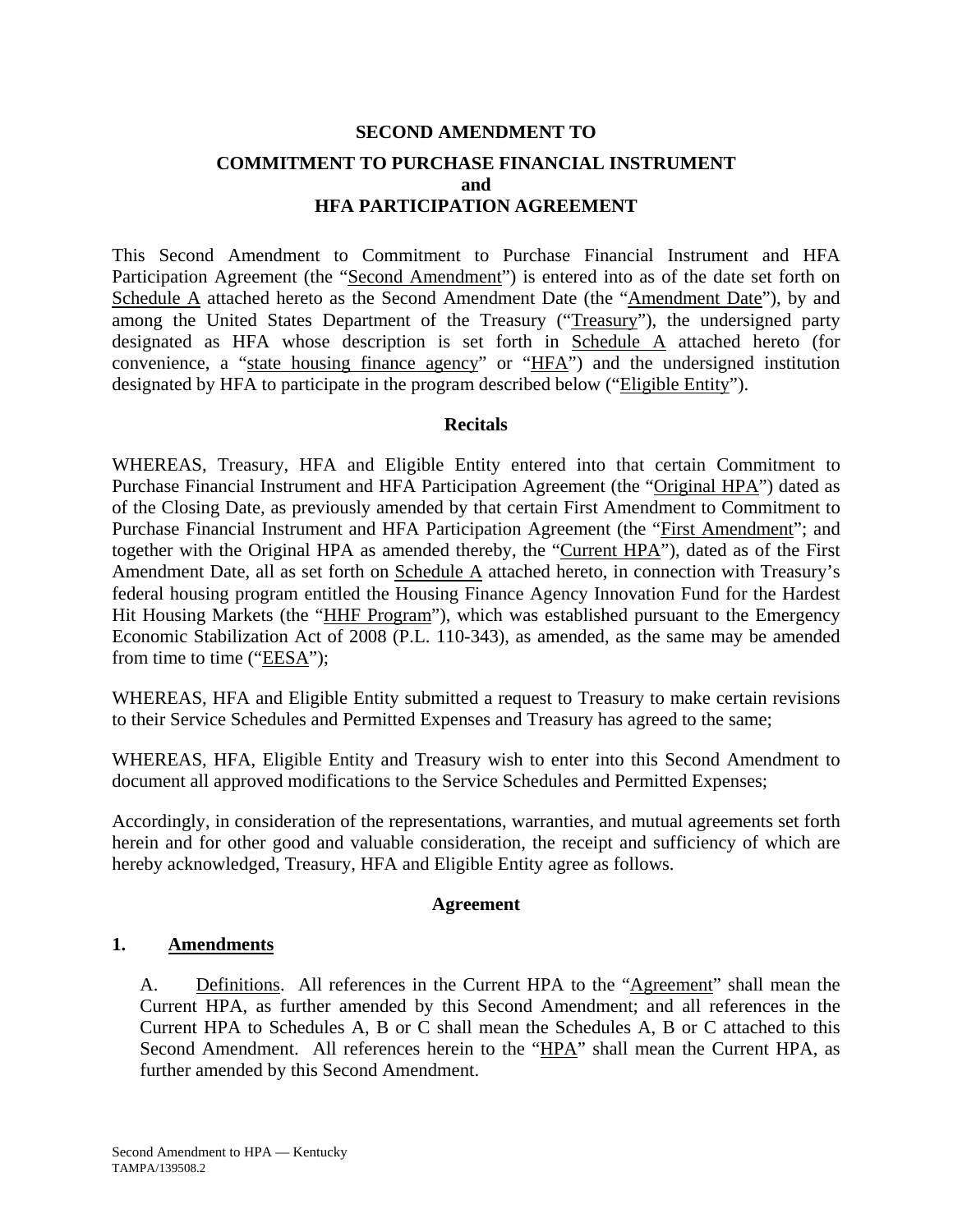# **SECOND AMENDMENT TO COMMITMENT TO PURCHASE FINANCIAL INSTRUMENT and HFA PARTICIPATION AGREEMENT**

This Second Amendment to Commitment to Purchase Financial Instrument and HFA Participation Agreement (the "Second Amendment") is entered into as of the date set forth on Schedule A attached hereto as the Second Amendment Date (the "Amendment Date"), by and among the United States Department of the Treasury ("Treasury"), the undersigned party designated as HFA whose description is set forth in Schedule A attached hereto (for convenience, a "state housing finance agency" or "HFA") and the undersigned institution designated by HFA to participate in the program described below ("Eligible Entity").

## **Recitals**

WHEREAS, Treasury, HFA and Eligible Entity entered into that certain Commitment to Purchase Financial Instrument and HFA Participation Agreement (the "Original HPA") dated as of the Closing Date, as previously amended by that certain First Amendment to Commitment to Purchase Financial Instrument and HFA Participation Agreement (the "First Amendment"; and together with the Original HPA as amended thereby, the "Current HPA"), dated as of the First Amendment Date, all as set forth on Schedule A attached hereto, in connection with Treasury's federal housing program entitled the Housing Finance Agency Innovation Fund for the Hardest Hit Housing Markets (the "HHF Program"), which was established pursuant to the Emergency Economic Stabilization Act of 2008 (P.L. 110-343), as amended, as the same may be amended from time to time ("EESA");

WHEREAS, HFA and Eligible Entity submitted a request to Treasury to make certain revisions to their Service Schedules and Permitted Expenses and Treasury has agreed to the same;

WHEREAS, HFA, Eligible Entity and Treasury wish to enter into this Second Amendment to document all approved modifications to the Service Schedules and Permitted Expenses;

Accordingly, in consideration of the representations, warranties, and mutual agreements set forth herein and for other good and valuable consideration, the receipt and sufficiency of which are hereby acknowledged, Treasury, HFA and Eligible Entity agree as follows.

## **Agreement**

## **1. Amendments**

A. Definitions. All references in the Current HPA to the "Agreement" shall mean the Current HPA, as further amended by this Second Amendment; and all references in the Current HPA to Schedules A, B or C shall mean the Schedules A, B or C attached to this Second Amendment. All references herein to the "HPA" shall mean the Current HPA, as further amended by this Second Amendment.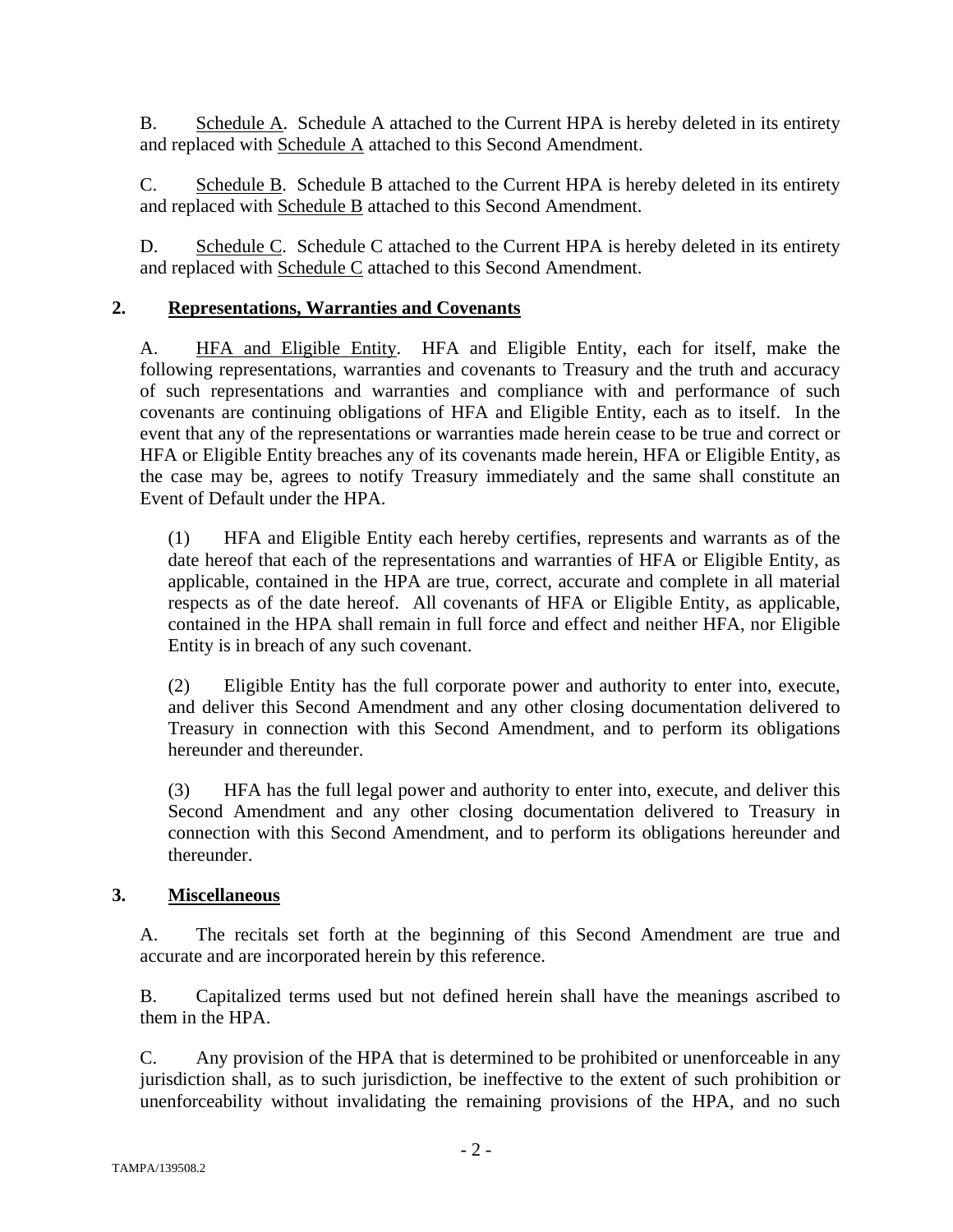B. Schedule A. Schedule A attached to the Current HPA is hereby deleted in its entirety and replaced with Schedule A attached to this Second Amendment.

C. Schedule B. Schedule B attached to the Current HPA is hereby deleted in its entirety and replaced with Schedule B attached to this Second Amendment.

D. Schedule C. Schedule C attached to the Current HPA is hereby deleted in its entirety and replaced with Schedule C attached to this Second Amendment.

## **2. Representations, Warranties and Covenants**

A. HFA and Eligible Entity. HFA and Eligible Entity, each for itself, make the following representations, warranties and covenants to Treasury and the truth and accuracy of such representations and warranties and compliance with and performance of such covenants are continuing obligations of HFA and Eligible Entity, each as to itself. In the event that any of the representations or warranties made herein cease to be true and correct or HFA or Eligible Entity breaches any of its covenants made herein, HFA or Eligible Entity, as the case may be, agrees to notify Treasury immediately and the same shall constitute an Event of Default under the HPA.

(1) HFA and Eligible Entity each hereby certifies, represents and warrants as of the date hereof that each of the representations and warranties of HFA or Eligible Entity, as applicable, contained in the HPA are true, correct, accurate and complete in all material respects as of the date hereof. All covenants of HFA or Eligible Entity, as applicable, contained in the HPA shall remain in full force and effect and neither HFA, nor Eligible Entity is in breach of any such covenant.

(2) Eligible Entity has the full corporate power and authority to enter into, execute, and deliver this Second Amendment and any other closing documentation delivered to Treasury in connection with this Second Amendment, and to perform its obligations hereunder and thereunder.

(3) HFA has the full legal power and authority to enter into, execute, and deliver this Second Amendment and any other closing documentation delivered to Treasury in connection with this Second Amendment, and to perform its obligations hereunder and thereunder.

## **3. Miscellaneous**

A. The recitals set forth at the beginning of this Second Amendment are true and accurate and are incorporated herein by this reference.

B. Capitalized terms used but not defined herein shall have the meanings ascribed to them in the HPA.

C. Any provision of the HPA that is determined to be prohibited or unenforceable in any jurisdiction shall, as to such jurisdiction, be ineffective to the extent of such prohibition or unenforceability without invalidating the remaining provisions of the HPA, and no such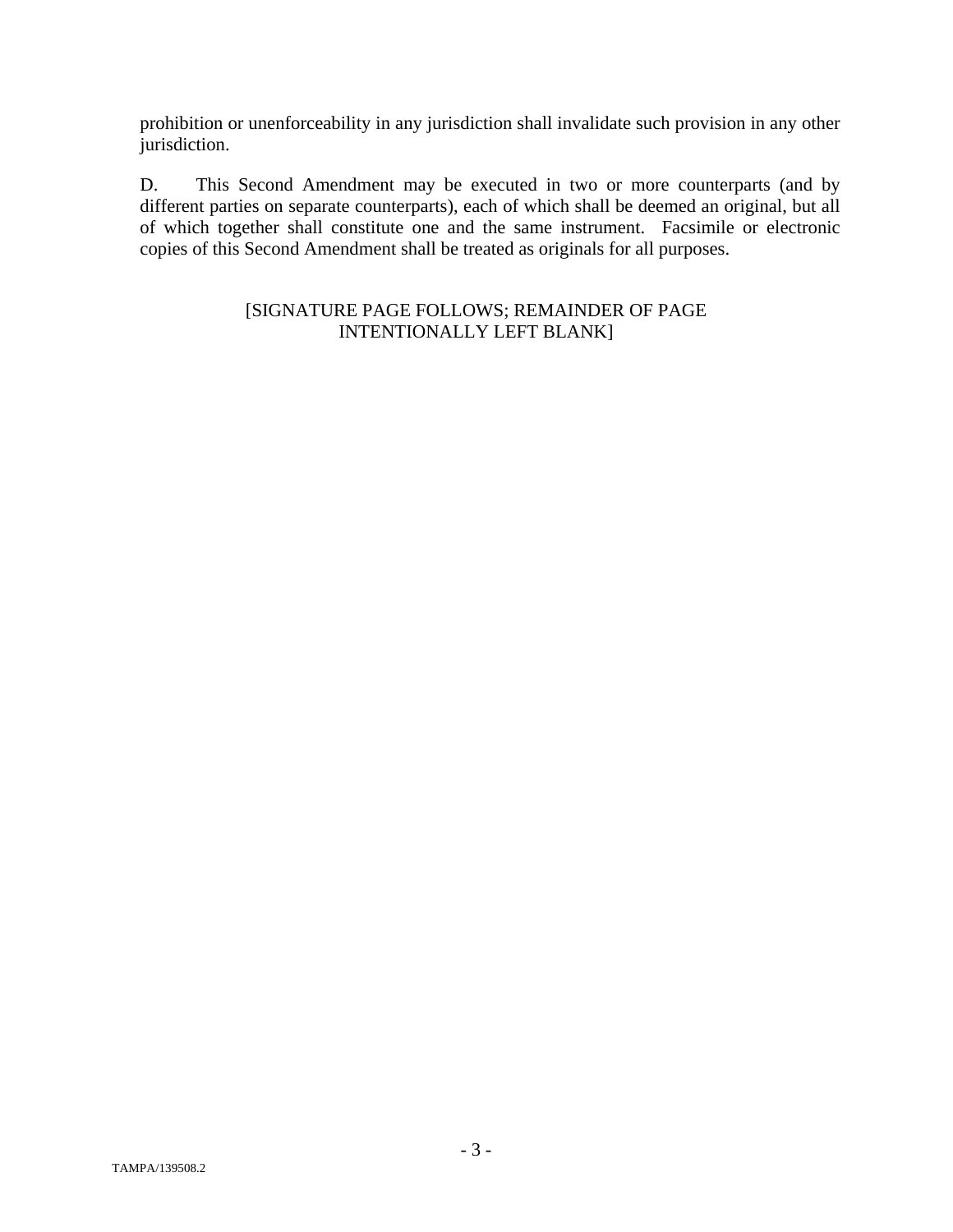prohibition or unenforceability in any jurisdiction shall invalidate such provision in any other jurisdiction.

D. This Second Amendment may be executed in two or more counterparts (and by different parties on separate counterparts), each of which shall be deemed an original, but all of which together shall constitute one and the same instrument. Facsimile or electronic copies of this Second Amendment shall be treated as originals for all purposes.

## [SIGNATURE PAGE FOLLOWS; REMAINDER OF PAGE INTENTIONALLY LEFT BLANK]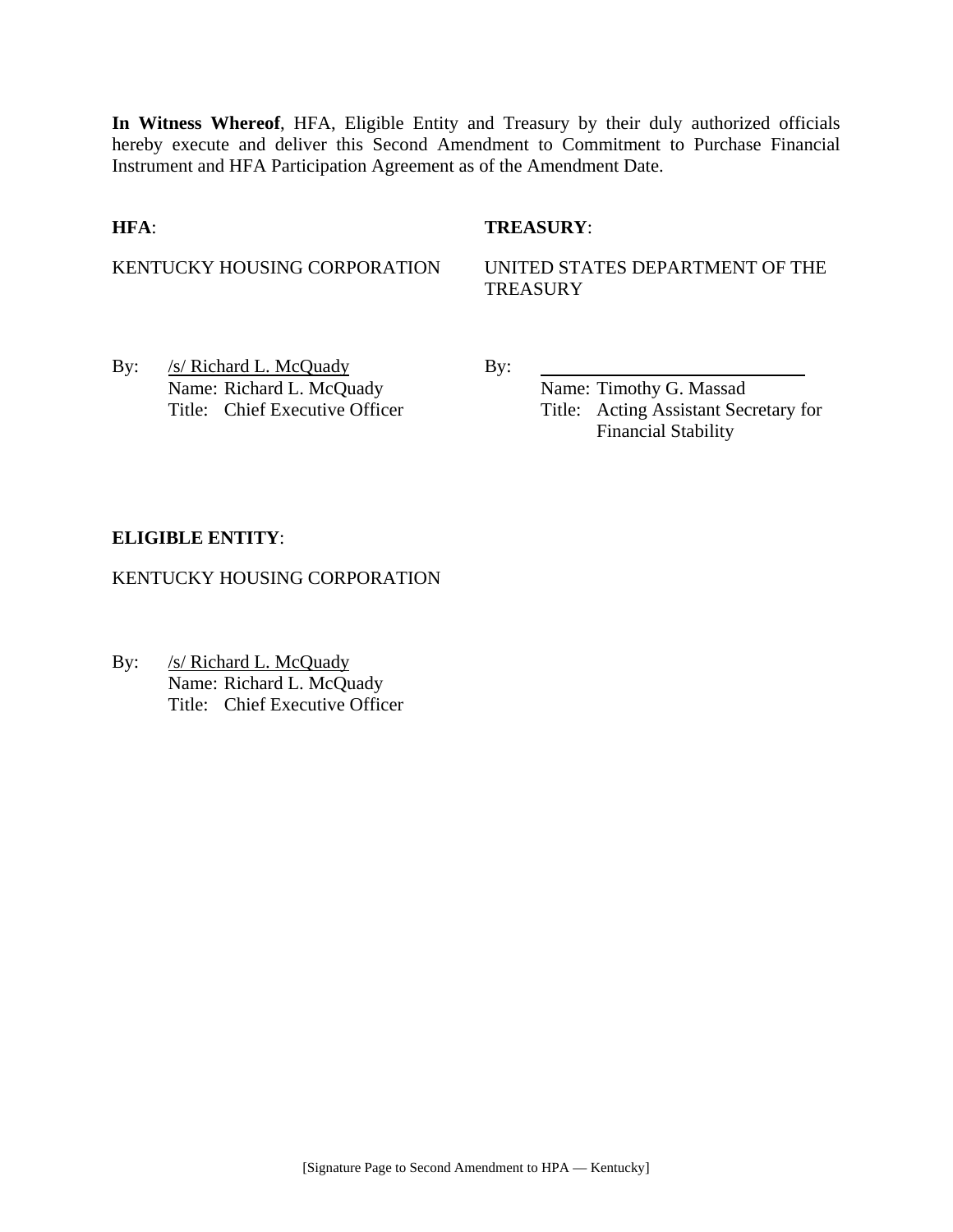**In Witness Whereof**, HFA, Eligible Entity and Treasury by their duly authorized officials hereby execute and deliver this Second Amendment to Commitment to Purchase Financial Instrument and HFA Participation Agreement as of the Amendment Date.

## **HFA**: **TREASURY**:

KENTUCKY HOUSING CORPORATION UNITED STATES DEPARTMENT OF THE **TREASURY** 

By: /s/ Richard L. McQuady By: Name: Richard L. McQuady Name: Timothy G. Massad

Title: Chief Executive Officer Title: Acting Assistant Secretary for Financial Stability

## **ELIGIBLE ENTITY**:

KENTUCKY HOUSING CORPORATION

By: /s/ Richard L. McQuady Name: Richard L. McQuady Title: Chief Executive Officer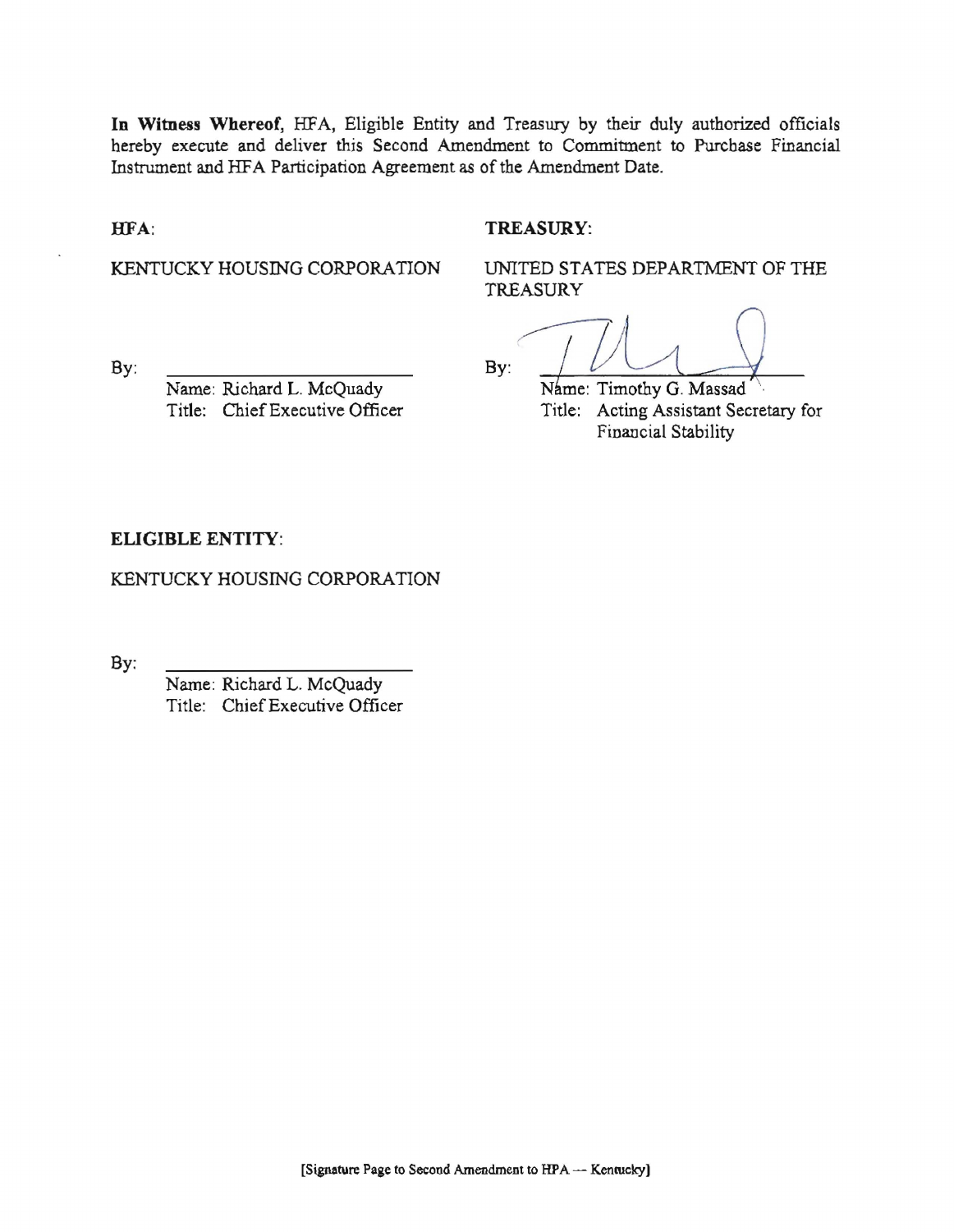In Witness Whereof, HFA, Eligible Entity and Treasury by their duly authorized officials hereby execute and deliver this Second Amendment to Commitment to Purchase Financial Instrument and HFA Participation Agreement as of the Amendment Date.

#### HFA:

## **TREASURY:**

KENTUCKY HOUSING CORPORATION

UNITED STATES DEPARTMENT OF THE TREASURY

By:

By:

Name: Richard L. McQuady Title: Chief Executive Officer

Name: Timothy G. Massad Title: Acting Assistant Secretary for Financial Stability

## **ELIGIBLE ENTITY:**

KENTUCKY HOUSING CORPORATION

By:

Name: Richard L. McQuady Title: Chief Executive Officer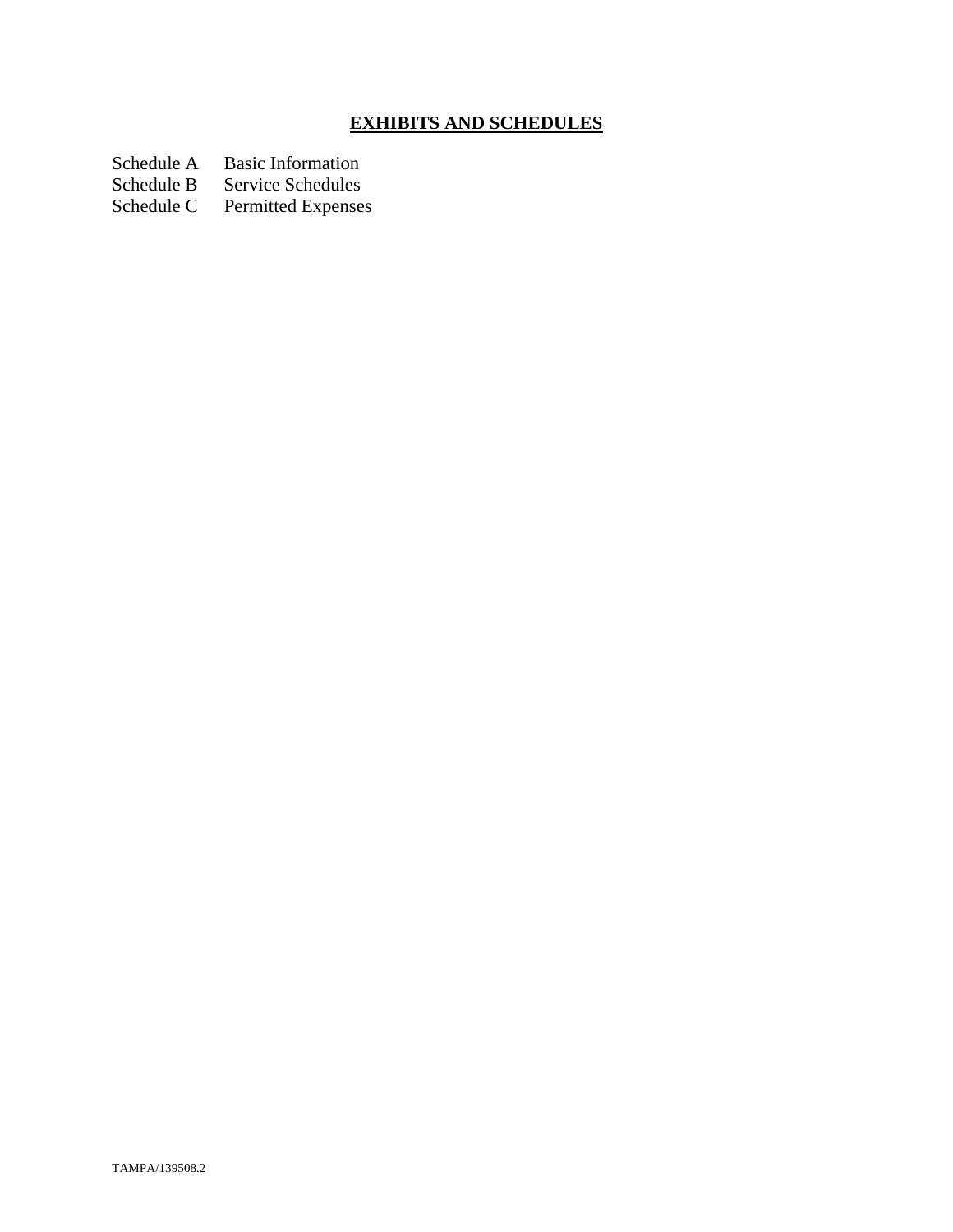# **EXHIBITS AND SCHEDULES**

Schedule A Basic Information<br>Schedule B Service Schedules

Schedule B Service Schedules<br>Schedule C Permitted Expenses

Permitted Expenses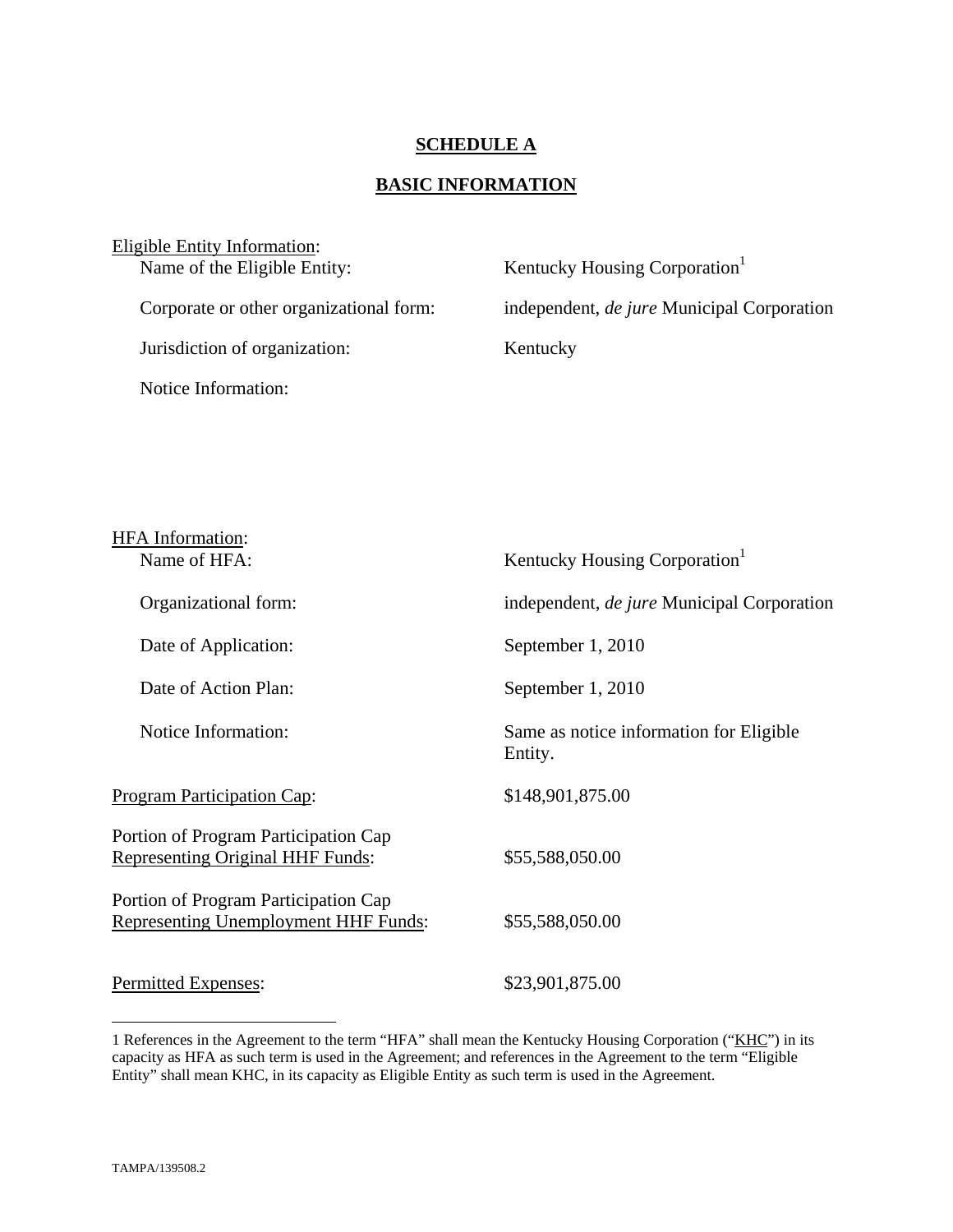## **SCHEDULE A**

# **BASIC INFORMATION**

| Eligible Entity Information:            |                                                   |
|-----------------------------------------|---------------------------------------------------|
| Name of the Eligible Entity:            | Kentucky Housing Corporation <sup>1</sup>         |
|                                         |                                                   |
| Corporate or other organizational form: | independent, <i>de jure</i> Municipal Corporation |
|                                         |                                                   |
| Jurisdiction of organization:           | Kentucky                                          |
|                                         |                                                   |
| Notice Information:                     |                                                   |
|                                         |                                                   |

| <b>HFA</b> Information:<br>Name of HFA:                                             | Kentucky Housing Corporation <sup>1</sup>          |
|-------------------------------------------------------------------------------------|----------------------------------------------------|
| Organizational form:                                                                | independent, <i>de jure</i> Municipal Corporation  |
| Date of Application:                                                                | September 1, 2010                                  |
| Date of Action Plan:                                                                | September 1, 2010                                  |
| Notice Information:                                                                 | Same as notice information for Eligible<br>Entity. |
| <b>Program Participation Cap:</b>                                                   | \$148,901,875.00                                   |
| Portion of Program Participation Cap<br><b>Representing Original HHF Funds:</b>     | \$55,588,050.00                                    |
| Portion of Program Participation Cap<br><b>Representing Unemployment HHF Funds:</b> | \$55,588,050.00                                    |
| Permitted Expenses:                                                                 | \$23,901,875.00                                    |

1

<sup>1</sup> References in the Agreement to the term "HFA" shall mean the Kentucky Housing Corporation ("KHC") in its capacity as HFA as such term is used in the Agreement; and references in the Agreement to the term "Eligible Entity" shall mean KHC, in its capacity as Eligible Entity as such term is used in the Agreement.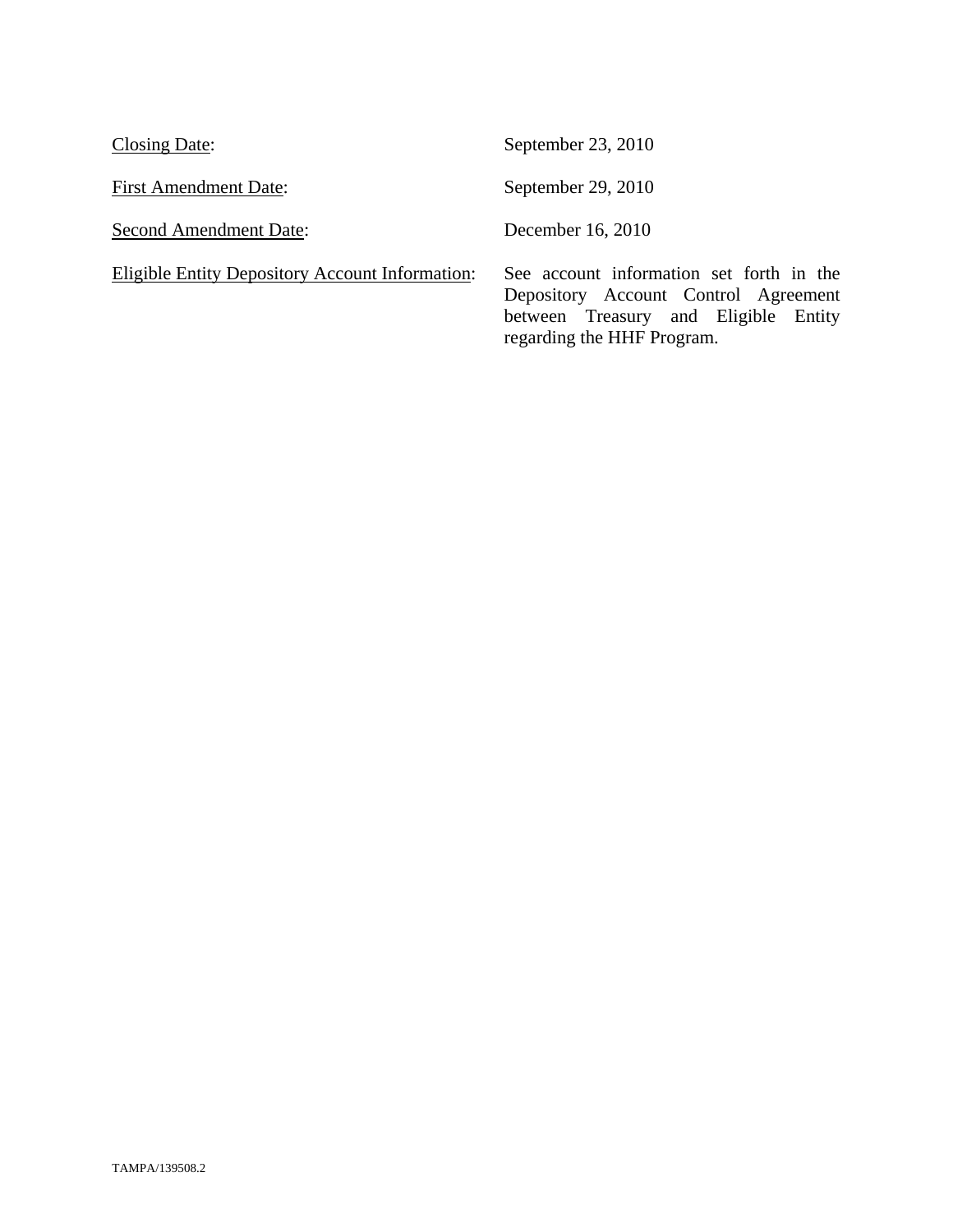| Closing Date:                                   | September 23, 2010                                                                                                                                     |
|-------------------------------------------------|--------------------------------------------------------------------------------------------------------------------------------------------------------|
| <b>First Amendment Date:</b>                    | September 29, 2010                                                                                                                                     |
| <b>Second Amendment Date:</b>                   | December 16, 2010                                                                                                                                      |
| Eligible Entity Depository Account Information: | See account information set forth in the<br>Depository Account Control Agreement<br>between Treasury and Eligible Entity<br>regarding the HHF Program. |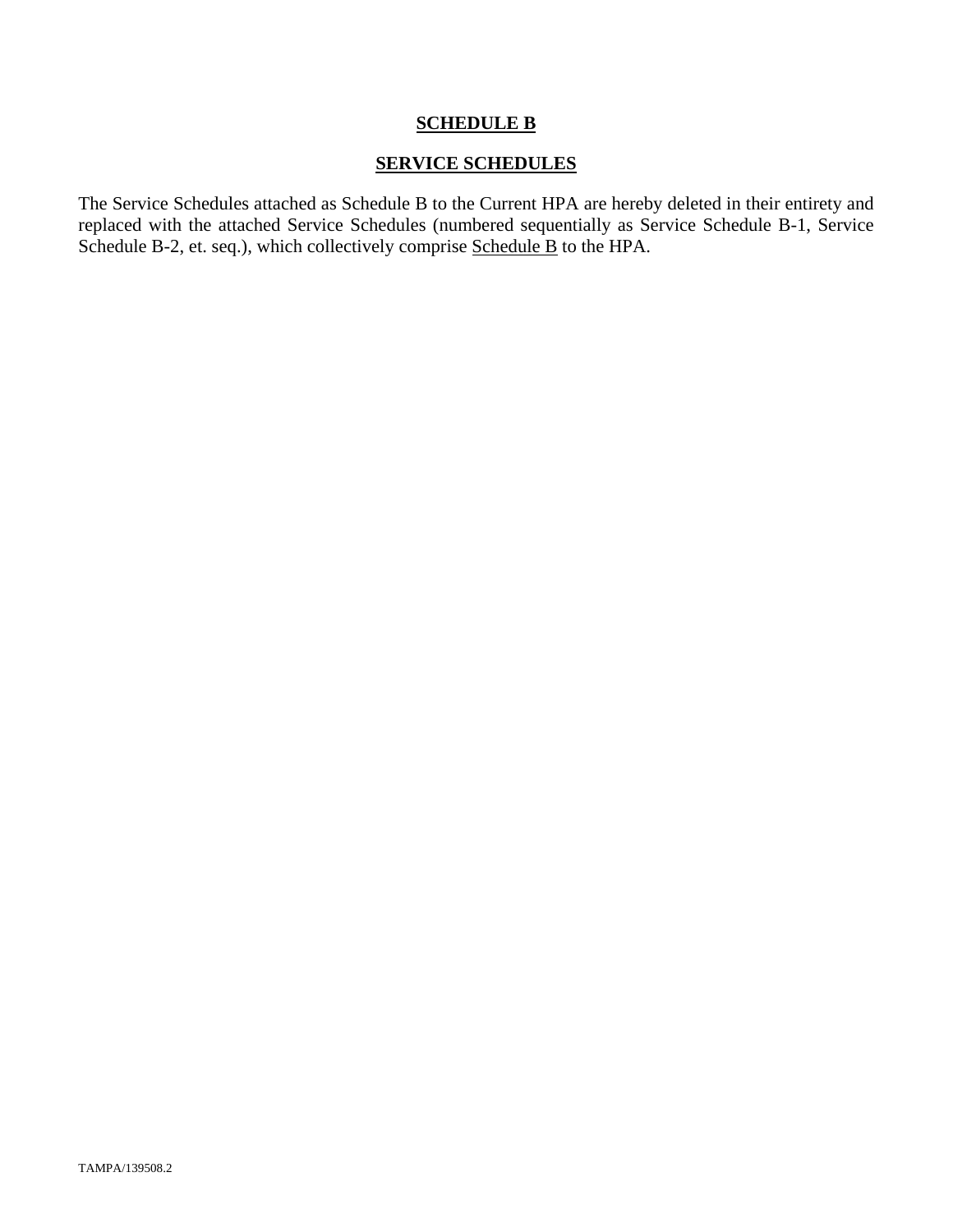## **SCHEDULE B**

## **SERVICE SCHEDULES**

The Service Schedules attached as Schedule B to the Current HPA are hereby deleted in their entirety and replaced with the attached Service Schedules (numbered sequentially as Service Schedule B-1, Service Schedule B-2, et. seq.), which collectively comprise Schedule B to the HPA.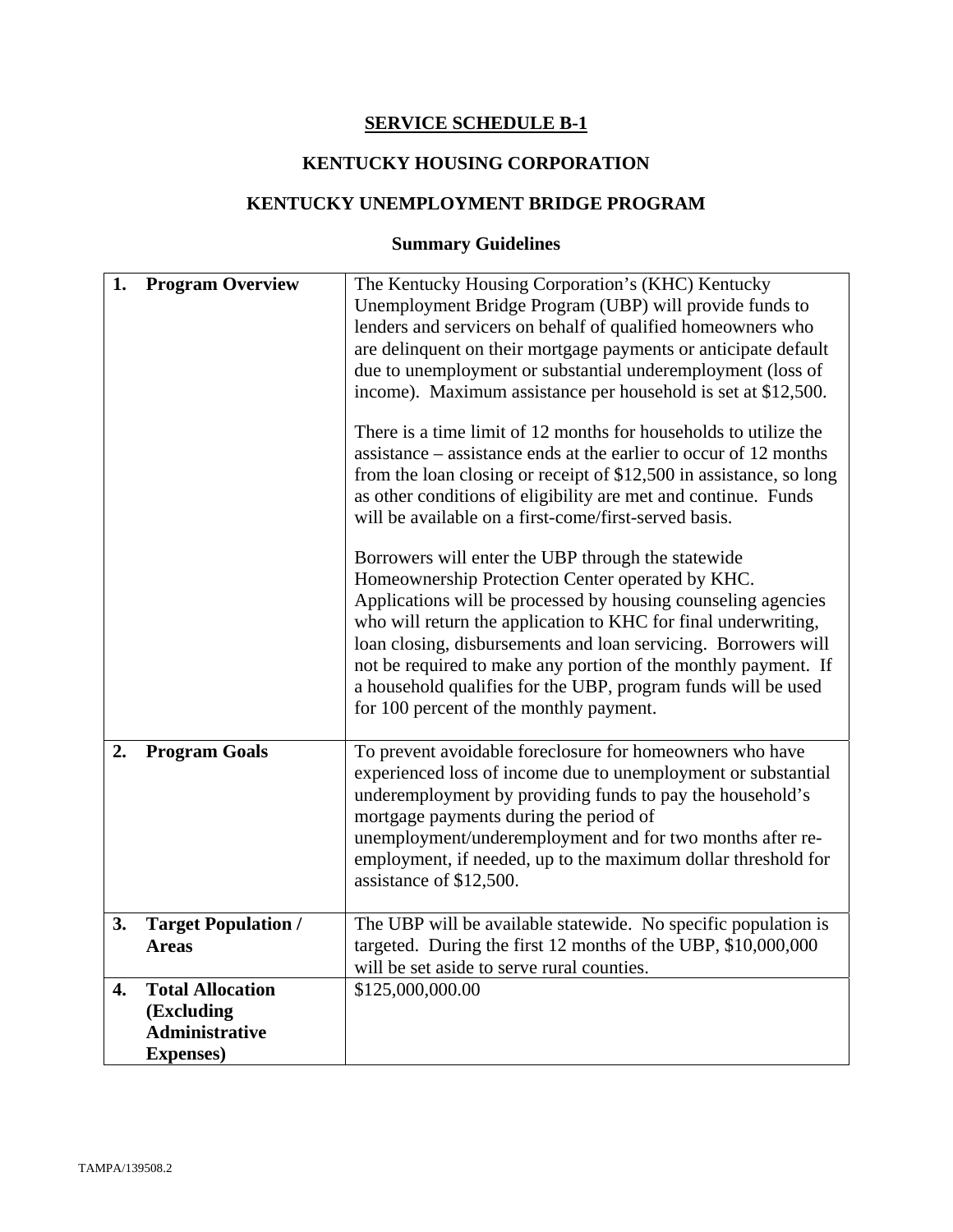# **SERVICE SCHEDULE B-1**

# **KENTUCKY HOUSING CORPORATION**

## **KENTUCKY UNEMPLOYMENT BRIDGE PROGRAM**

# **Summary Guidelines**

| 1. | <b>Program Overview</b>                                                             | The Kentucky Housing Corporation's (KHC) Kentucky<br>Unemployment Bridge Program (UBP) will provide funds to<br>lenders and servicers on behalf of qualified homeowners who<br>are delinquent on their mortgage payments or anticipate default<br>due to unemployment or substantial underemployment (loss of<br>income). Maximum assistance per household is set at \$12,500.<br>There is a time limit of 12 months for households to utilize the<br>assistance – assistance ends at the earlier to occur of 12 months<br>from the loan closing or receipt of \$12,500 in assistance, so long<br>as other conditions of eligibility are met and continue. Funds<br>will be available on a first-come/first-served basis.<br>Borrowers will enter the UBP through the statewide<br>Homeownership Protection Center operated by KHC.<br>Applications will be processed by housing counseling agencies<br>who will return the application to KHC for final underwriting,<br>loan closing, disbursements and loan servicing. Borrowers will<br>not be required to make any portion of the monthly payment. If<br>a household qualifies for the UBP, program funds will be used<br>for 100 percent of the monthly payment. |
|----|-------------------------------------------------------------------------------------|------------------------------------------------------------------------------------------------------------------------------------------------------------------------------------------------------------------------------------------------------------------------------------------------------------------------------------------------------------------------------------------------------------------------------------------------------------------------------------------------------------------------------------------------------------------------------------------------------------------------------------------------------------------------------------------------------------------------------------------------------------------------------------------------------------------------------------------------------------------------------------------------------------------------------------------------------------------------------------------------------------------------------------------------------------------------------------------------------------------------------------------------------------------------------------------------------------------------|
| 2. | <b>Program Goals</b>                                                                | To prevent avoidable foreclosure for homeowners who have<br>experienced loss of income due to unemployment or substantial<br>underemployment by providing funds to pay the household's<br>mortgage payments during the period of<br>unemployment/underemployment and for two months after re-<br>employment, if needed, up to the maximum dollar threshold for<br>assistance of \$12,500.                                                                                                                                                                                                                                                                                                                                                                                                                                                                                                                                                                                                                                                                                                                                                                                                                              |
| 3. | <b>Target Population /</b><br><b>Areas</b>                                          | The UBP will be available statewide. No specific population is<br>targeted. During the first 12 months of the UBP, \$10,000,000<br>will be set aside to serve rural counties.                                                                                                                                                                                                                                                                                                                                                                                                                                                                                                                                                                                                                                                                                                                                                                                                                                                                                                                                                                                                                                          |
| 4. | <b>Total Allocation</b><br>(Excluding<br><b>Administrative</b><br><b>Expenses</b> ) | \$125,000,000.00                                                                                                                                                                                                                                                                                                                                                                                                                                                                                                                                                                                                                                                                                                                                                                                                                                                                                                                                                                                                                                                                                                                                                                                                       |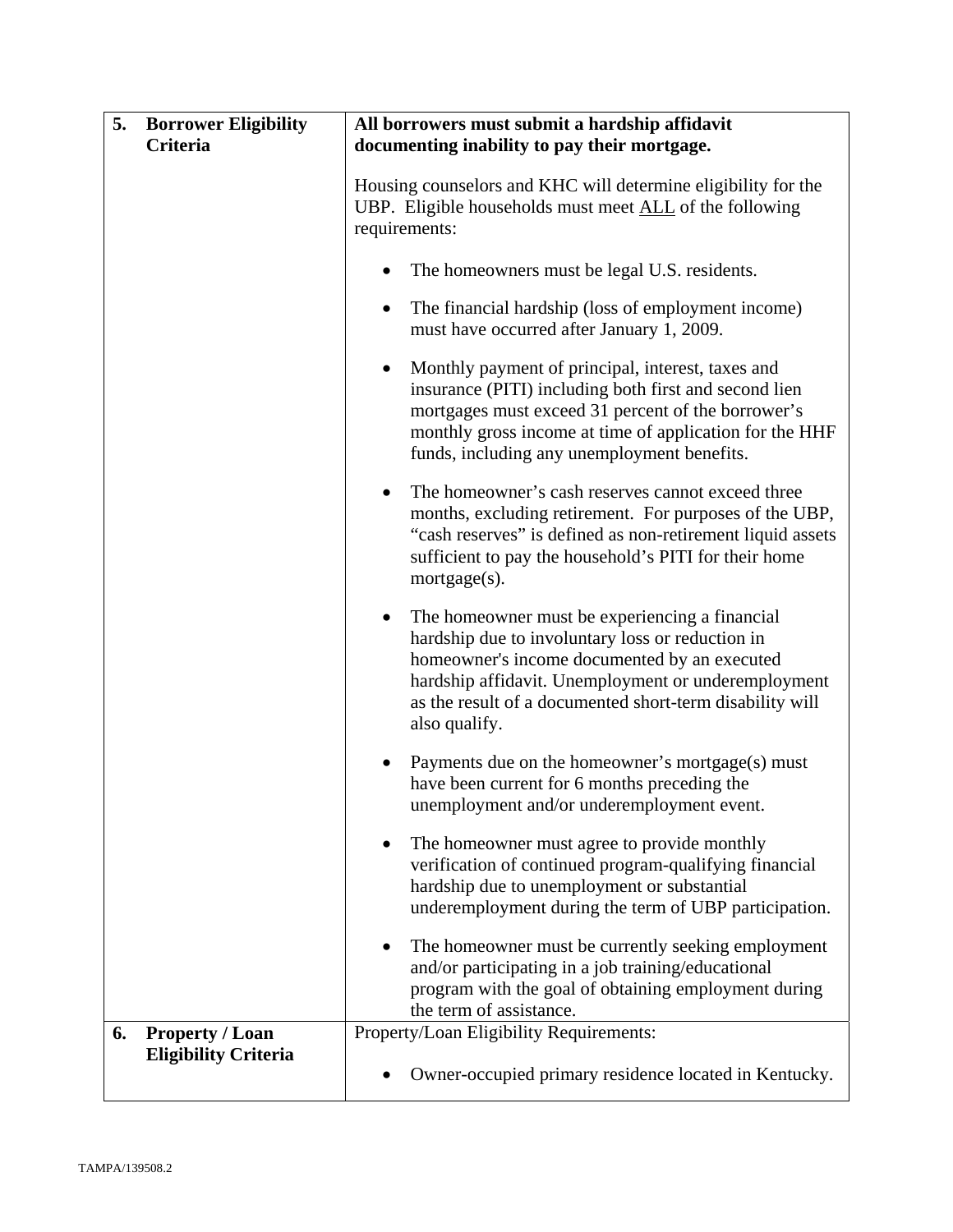| 5.<br><b>Borrower Eligibility</b><br>Criteria               | All borrowers must submit a hardship affidavit<br>documenting inability to pay their mortgage.                                                                                                                                                                                                      |  |
|-------------------------------------------------------------|-----------------------------------------------------------------------------------------------------------------------------------------------------------------------------------------------------------------------------------------------------------------------------------------------------|--|
|                                                             | Housing counselors and KHC will determine eligibility for the<br>UBP. Eligible households must meet ALL of the following<br>requirements:                                                                                                                                                           |  |
|                                                             | The homeowners must be legal U.S. residents.                                                                                                                                                                                                                                                        |  |
|                                                             | The financial hardship (loss of employment income)<br>٠<br>must have occurred after January 1, 2009.                                                                                                                                                                                                |  |
|                                                             | Monthly payment of principal, interest, taxes and<br>$\bullet$<br>insurance (PITI) including both first and second lien<br>mortgages must exceed 31 percent of the borrower's<br>monthly gross income at time of application for the HHF<br>funds, including any unemployment benefits.             |  |
|                                                             | The homeowner's cash reserves cannot exceed three<br>$\bullet$<br>months, excluding retirement. For purposes of the UBP,<br>"cash reserves" is defined as non-retirement liquid assets<br>sufficient to pay the household's PITI for their home<br>$mortgage(s)$ .                                  |  |
|                                                             | The homeowner must be experiencing a financial<br>$\bullet$<br>hardship due to involuntary loss or reduction in<br>homeowner's income documented by an executed<br>hardship affidavit. Unemployment or underemployment<br>as the result of a documented short-term disability will<br>also qualify. |  |
|                                                             | Payments due on the homeowner's mortgage(s) must<br>$\bullet$<br>have been current for 6 months preceding the<br>unemployment and/or underemployment event.                                                                                                                                         |  |
|                                                             | The homeowner must agree to provide monthly<br>verification of continued program-qualifying financial<br>hardship due to unemployment or substantial<br>underemployment during the term of UBP participation.                                                                                       |  |
|                                                             | The homeowner must be currently seeking employment<br>and/or participating in a job training/educational<br>program with the goal of obtaining employment during<br>the term of assistance.                                                                                                         |  |
| <b>Property / Loan</b><br>6.<br><b>Eligibility Criteria</b> | Property/Loan Eligibility Requirements:                                                                                                                                                                                                                                                             |  |
|                                                             | Owner-occupied primary residence located in Kentucky.                                                                                                                                                                                                                                               |  |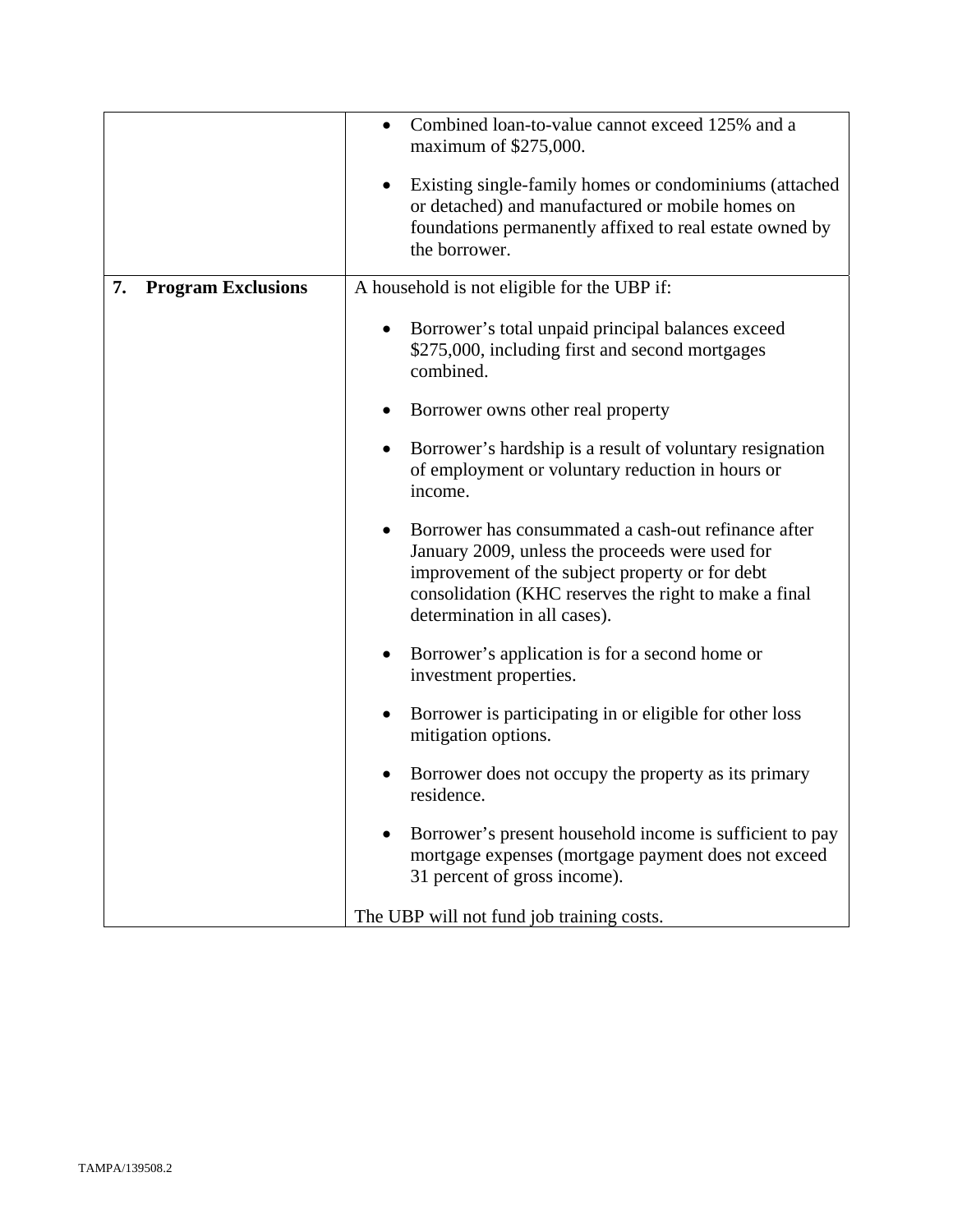|                                 | Combined loan-to-value cannot exceed 125% and a<br>maximum of \$275,000.                                                                                                                                                                           |  |
|---------------------------------|----------------------------------------------------------------------------------------------------------------------------------------------------------------------------------------------------------------------------------------------------|--|
|                                 | Existing single-family homes or condominiums (attached<br>$\bullet$<br>or detached) and manufactured or mobile homes on<br>foundations permanently affixed to real estate owned by<br>the borrower.                                                |  |
| 7.<br><b>Program Exclusions</b> | A household is not eligible for the UBP if:                                                                                                                                                                                                        |  |
|                                 | Borrower's total unpaid principal balances exceed<br>$\bullet$<br>\$275,000, including first and second mortgages<br>combined.                                                                                                                     |  |
|                                 | Borrower owns other real property                                                                                                                                                                                                                  |  |
|                                 | Borrower's hardship is a result of voluntary resignation<br>$\bullet$<br>of employment or voluntary reduction in hours or<br>income.                                                                                                               |  |
|                                 | Borrower has consummated a cash-out refinance after<br>January 2009, unless the proceeds were used for<br>improvement of the subject property or for debt<br>consolidation (KHC reserves the right to make a final<br>determination in all cases). |  |
|                                 | Borrower's application is for a second home or<br>$\bullet$<br>investment properties.                                                                                                                                                              |  |
|                                 | Borrower is participating in or eligible for other loss<br>٠<br>mitigation options.                                                                                                                                                                |  |
|                                 | Borrower does not occupy the property as its primary<br>residence.                                                                                                                                                                                 |  |
|                                 | Borrower's present household income is sufficient to pay<br>mortgage expenses (mortgage payment does not exceed<br>31 percent of gross income).                                                                                                    |  |
|                                 | The UBP will not fund job training costs.                                                                                                                                                                                                          |  |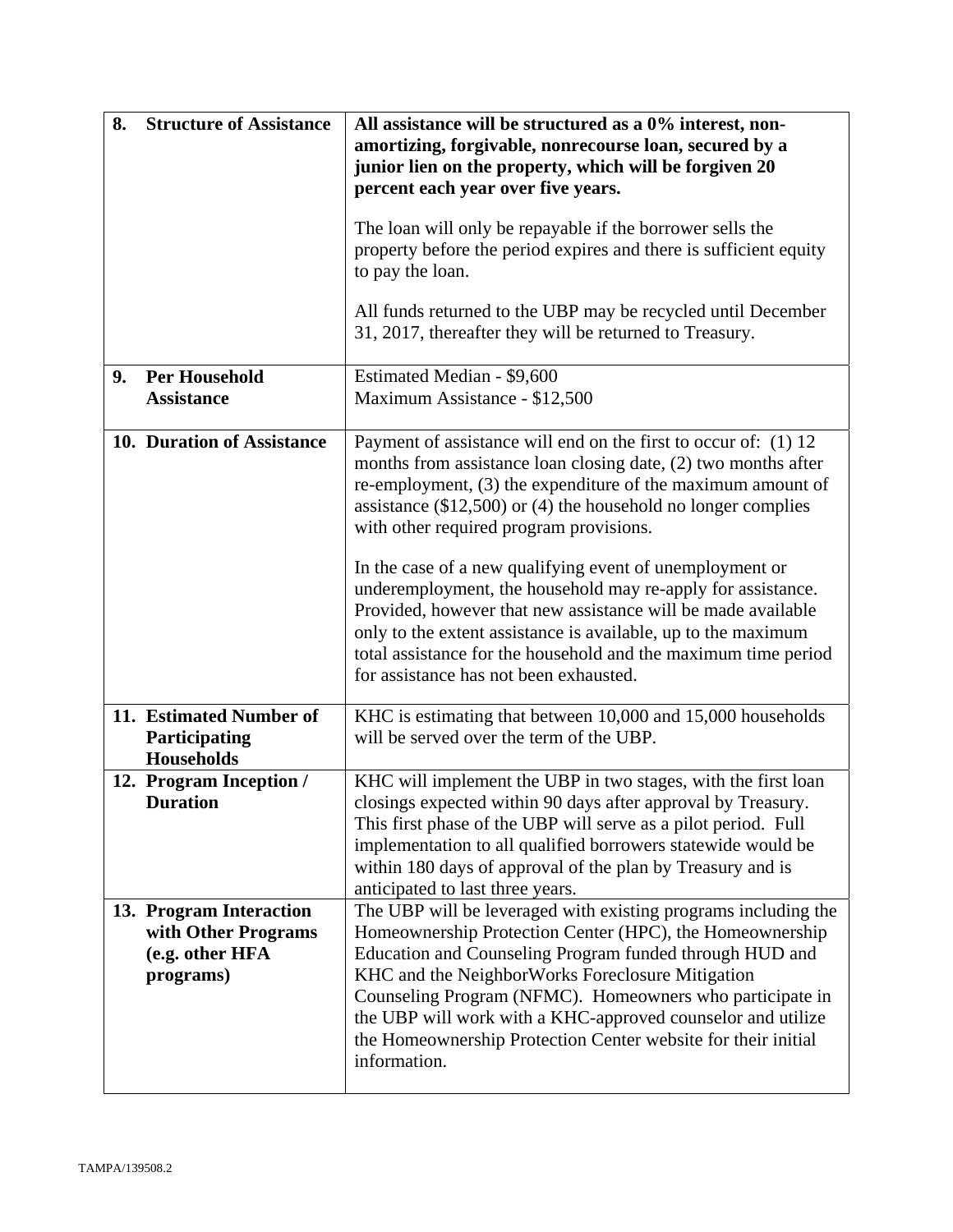| 8. | <b>Structure of Assistance</b>                                                 | All assistance will be structured as a 0% interest, non-<br>amortizing, forgivable, nonrecourse loan, secured by a                                                                                                                                                                                                                                                                                                                                    |  |
|----|--------------------------------------------------------------------------------|-------------------------------------------------------------------------------------------------------------------------------------------------------------------------------------------------------------------------------------------------------------------------------------------------------------------------------------------------------------------------------------------------------------------------------------------------------|--|
|    |                                                                                | junior lien on the property, which will be forgiven 20<br>percent each year over five years.                                                                                                                                                                                                                                                                                                                                                          |  |
|    |                                                                                | The loan will only be repayable if the borrower sells the<br>property before the period expires and there is sufficient equity<br>to pay the loan.                                                                                                                                                                                                                                                                                                    |  |
|    |                                                                                | All funds returned to the UBP may be recycled until December<br>31, 2017, thereafter they will be returned to Treasury.                                                                                                                                                                                                                                                                                                                               |  |
| 9. | <b>Per Household</b><br><b>Assistance</b>                                      | Estimated Median - \$9,600<br>Maximum Assistance - \$12,500                                                                                                                                                                                                                                                                                                                                                                                           |  |
|    | 10. Duration of Assistance                                                     | Payment of assistance will end on the first to occur of: (1) 12<br>months from assistance loan closing date, (2) two months after<br>re-employment, (3) the expenditure of the maximum amount of<br>assistance $(\$12,500)$ or $(4)$ the household no longer complies<br>with other required program provisions.                                                                                                                                      |  |
|    |                                                                                | In the case of a new qualifying event of unemployment or<br>underemployment, the household may re-apply for assistance.<br>Provided, however that new assistance will be made available<br>only to the extent assistance is available, up to the maximum<br>total assistance for the household and the maximum time period<br>for assistance has not been exhausted.                                                                                  |  |
|    | 11. Estimated Number of<br>Participating<br><b>Households</b>                  | KHC is estimating that between 10,000 and 15,000 households<br>will be served over the term of the UBP.                                                                                                                                                                                                                                                                                                                                               |  |
|    | 12. Program Inception /<br><b>Duration</b>                                     | KHC will implement the UBP in two stages, with the first loan<br>closings expected within 90 days after approval by Treasury.<br>This first phase of the UBP will serve as a pilot period. Full<br>implementation to all qualified borrowers statewide would be<br>within 180 days of approval of the plan by Treasury and is<br>anticipated to last three years.                                                                                     |  |
|    | 13. Program Interaction<br>with Other Programs<br>(e.g. other HFA<br>programs) | The UBP will be leveraged with existing programs including the<br>Homeownership Protection Center (HPC), the Homeownership<br>Education and Counseling Program funded through HUD and<br>KHC and the NeighborWorks Foreclosure Mitigation<br>Counseling Program (NFMC). Homeowners who participate in<br>the UBP will work with a KHC-approved counselor and utilize<br>the Homeownership Protection Center website for their initial<br>information. |  |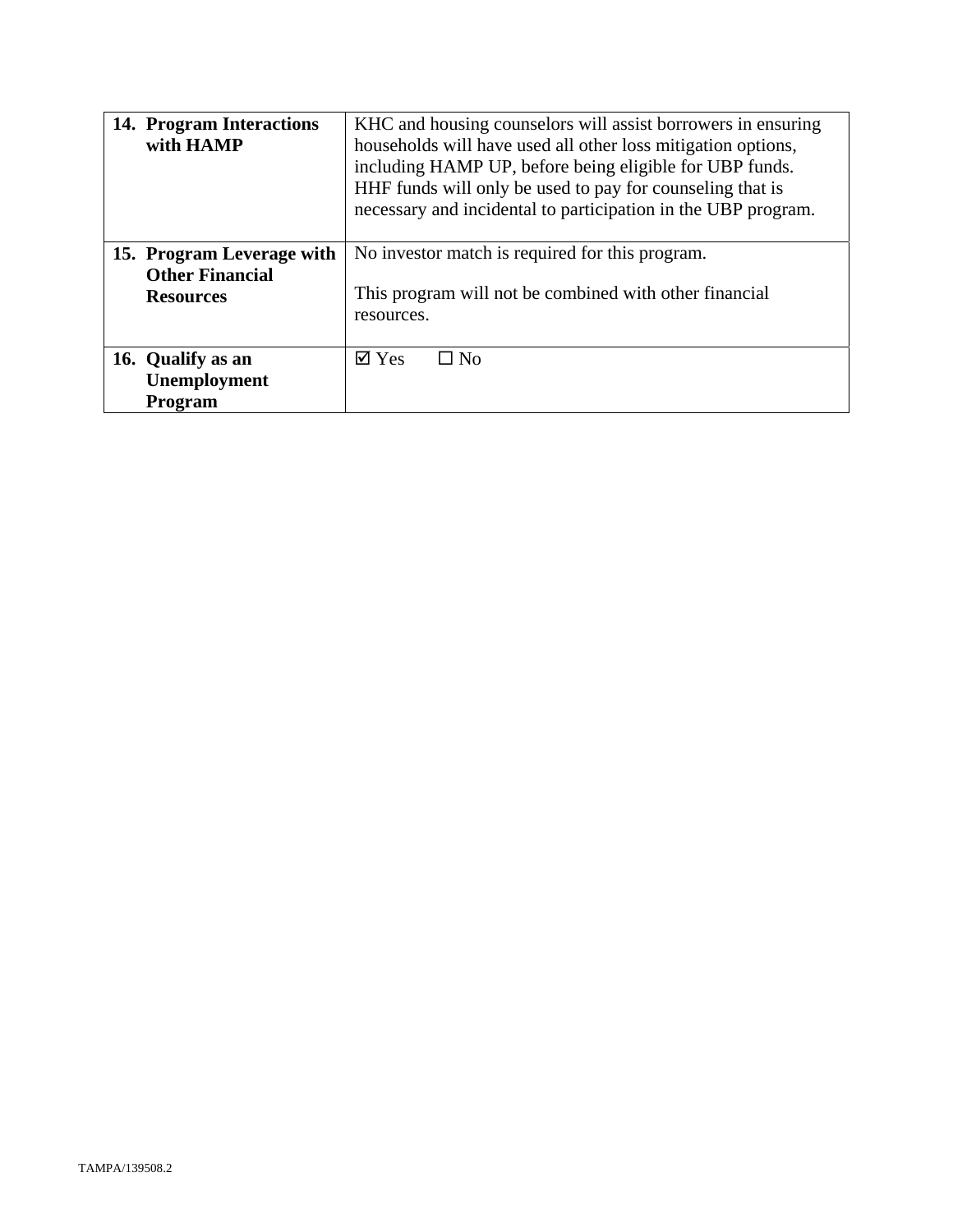| 14. Program Interactions<br>with HAMP                                   | KHC and housing counselors will assist borrowers in ensuring<br>households will have used all other loss mitigation options,<br>including HAMP UP, before being eligible for UBP funds.<br>HHF funds will only be used to pay for counseling that is<br>necessary and incidental to participation in the UBP program. |
|-------------------------------------------------------------------------|-----------------------------------------------------------------------------------------------------------------------------------------------------------------------------------------------------------------------------------------------------------------------------------------------------------------------|
| 15. Program Leverage with<br><b>Other Financial</b><br><b>Resources</b> | No investor match is required for this program.<br>This program will not be combined with other financial<br>resources.                                                                                                                                                                                               |
| 16. Qualify as an<br>Unemployment<br><b>Program</b>                     | $\overline{\mathsf{d}}$ Yes<br>$\Box$ No                                                                                                                                                                                                                                                                              |